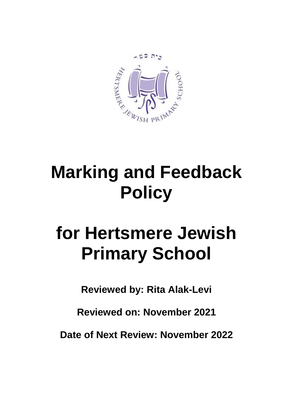

## **Marking and Feedback Policy**

## **for Hertsmere Jewish Primary School**

**Reviewed by: Rita Alak-Levi**

**Reviewed on: November 2021**

**Date of Next Review: November 2022**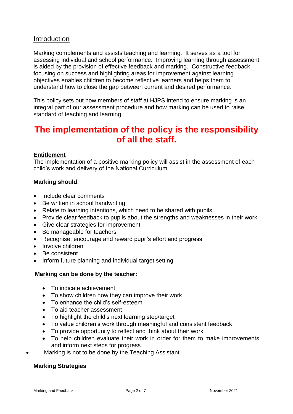#### Introduction

Marking complements and assists teaching and learning. It serves as a tool for assessing individual and school performance. Improving learning through assessment is aided by the provision of effective feedback and marking. Constructive feedback focusing on success and highlighting areas for improvement against learning objectives enables children to become reflective learners and helps them to understand how to close the gap between current and desired performance.

This policy sets out how members of staff at HJPS intend to ensure marking is an integral part of our assessment procedure and how marking can be used to raise standard of teaching and learning.

### **The implementation of the policy is the responsibility of all the staff.**

#### **Entitlement**

The implementation of a positive marking policy will assist in the assessment of each child's work and delivery of the National Curriculum.

#### **Marking should**:

- Include clear comments
- Be written in school handwriting
- Relate to learning intentions, which need to be shared with pupils
- Provide clear feedback to pupils about the strengths and weaknesses in their work
- Give clear strategies for improvement
- Be manageable for teachers
- Recognise, encourage and reward pupil's effort and progress
- Involve children
- Be consistent
- Inform future planning and individual target setting

#### **Marking can be done by the teacher:**

- To indicate achievement
- To show children how they can improve their work
- To enhance the child's self-esteem
- To aid teacher assessment
- To highlight the child's next learning step/target
- To value children's work through meaningful and consistent feedback
- To provide opportunity to reflect and think about their work
- To help children evaluate their work in order for them to make improvements and inform next steps for progress
- Marking is not to be done by the Teaching Assistant

#### **Marking Strategies**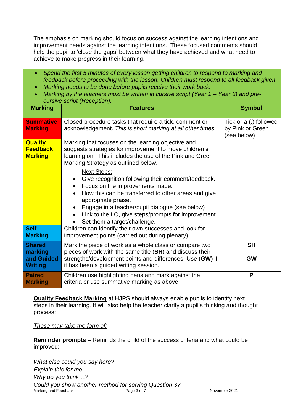The emphasis on marking should focus on success against the learning intentions and improvement needs against the learning intentions. These focused comments should help the pupil to 'close the gaps' between what they have achieved and what need to achieve to make progress in their learning.

- *Spend the first 5 minutes of every lesson getting children to respond to marking and feedback before proceeding with the lesson. Children must respond to all feedback given.*
- *Marking needs to be done before pupils receive their work back.*
- *Marking by the teachers must be written in cursive script (Year 1 – Year 6) and precursive script (Reception).*

| <b>Marking</b>                                      | <b>Features</b>                                                                                                                                                                                                                                                                                                                    | <b>Symbol</b>                                             |
|-----------------------------------------------------|------------------------------------------------------------------------------------------------------------------------------------------------------------------------------------------------------------------------------------------------------------------------------------------------------------------------------------|-----------------------------------------------------------|
| <b>Summative</b><br><b>Marking</b>                  | Closed procedure tasks that require a tick, comment or<br>acknowledgement. This is short marking at all other times.                                                                                                                                                                                                               | Tick or a (.) followed<br>by Pink or Green<br>(see below) |
| <b>Quality</b><br><b>Feedback</b><br><b>Marking</b> | Marking that focuses on the learning objective and<br>suggests strategies for improvement to move children's<br>learning on. This includes the use of the Pink and Green<br>Marking Strategy as outlined below.                                                                                                                    |                                                           |
|                                                     | <b>Next Steps:</b><br>Give recognition following their comment/feedback.<br>Focus on the improvements made.<br>How this can be transferred to other areas and give<br>appropriate praise.<br>Engage in a teacher/pupil dialogue (see below)<br>Link to the LO, give steps/prompts for improvement.<br>Set them a target/challenge. |                                                           |
| Self-<br><b>Marking</b>                             | Children can identify their own successes and look for<br>improvement points (carried out during plenary)                                                                                                                                                                                                                          |                                                           |
| <b>Shared</b><br>marking                            | Mark the piece of work as a whole class or compare two<br>pieces of work with the same title (SH) and discuss their                                                                                                                                                                                                                | <b>SH</b>                                                 |
| and Guided<br><b>Writing</b>                        | strengths/development points and differences. Use (GW) if<br>it has been a guided writing session.                                                                                                                                                                                                                                 | <b>GW</b>                                                 |
| <b>Paired</b><br><b>Marking</b>                     | Children use highlighting pens and mark against the<br>criteria or use summative marking as above                                                                                                                                                                                                                                  | P                                                         |

**Quality Feedback Marking** at HJPS should always enable pupils to identify next steps in their learning. It will also help the teacher clarify a pupil's thinking and thought process:

*These may take the form of:* 

**Reminder prompts** – Reminds the child of the success criteria and what could be improved:

Marking and Feedback **Page 3 of 7** November 2021 *What else could you say here? Explain this for me… Why do you think…? Could you show another method for solving Question 3?*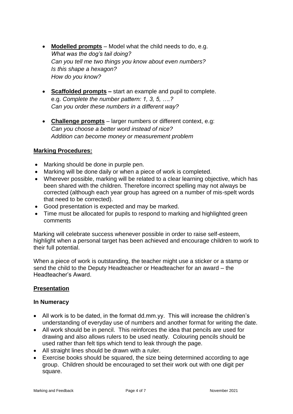- **Modelled prompts** Model what the child needs to do, e.g. *What was the dog's tail doing? Can you tell me two things you know about even numbers? Is this shape a hexagon? How do you know?*
- **Scaffolded prompts –** start an example and pupil to complete. e.g. *Complete the number pattern: 1, 3, 5, ….? Can you order these numbers in a different way?*
- **Challenge prompts** larger numbers or different context, e.g: *Can you choose a better word instead of nice? Addition can become money or measurement problem*

#### **Marking Procedures:**

- Marking should be done in purple pen.
- Marking will be done daily or when a piece of work is completed.
- Wherever possible, marking will be related to a clear learning objective, which has been shared with the children. Therefore incorrect spelling may not always be corrected (although each year group has agreed on a number of mis-spelt words that need to be corrected).
- Good presentation is expected and may be marked.
- Time must be allocated for pupils to respond to marking and highlighted green comments

Marking will celebrate success whenever possible in order to raise self-esteem, highlight when a personal target has been achieved and encourage children to work to their full potential.

When a piece of work is outstanding, the teacher might use a sticker or a stamp or send the child to the Deputy Headteacher or Headteacher for an award – the Headteacher's Award.

#### **Presentation**

#### **In Numeracy**

- All work is to be dated, in the format dd.mm.yy. This will increase the children's understanding of everyday use of numbers and another format for writing the date.
- All work should be in pencil. This reinforces the idea that pencils are used for drawing and also allows rulers to be used neatly. Colouring pencils should be used rather than felt tips which tend to leak through the page.
- All straight lines should be drawn with a ruler.
- Exercise books should be squared, the size being determined according to age group. Children should be encouraged to set their work out with one digit per square.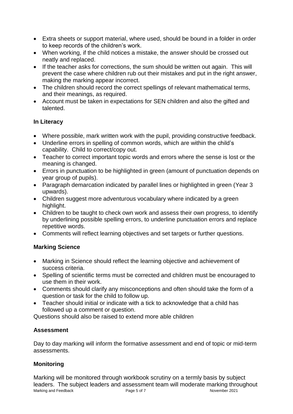- Extra sheets or support material, where used, should be bound in a folder in order to keep records of the children's work.
- When working, if the child notices a mistake, the answer should be crossed out neatly and replaced.
- If the teacher asks for corrections, the sum should be written out again. This will prevent the case where children rub out their mistakes and put in the right answer, making the marking appear incorrect.
- The children should record the correct spellings of relevant mathematical terms, and their meanings, as required.
- Account must be taken in expectations for SEN children and also the gifted and talented.

#### **In Literacy**

- Where possible, mark written work with the pupil, providing constructive feedback.
- Underline errors in spelling of common words, which are within the child's capability. Child to correct/copy out.
- Teacher to correct important topic words and errors where the sense is lost or the meaning is changed.
- Errors in punctuation to be highlighted in green (amount of punctuation depends on year group of pupils).
- Paragraph demarcation indicated by parallel lines or highlighted in green (Year 3 upwards).
- Children suggest more adventurous vocabulary where indicated by a green highlight.
- Children to be taught to check own work and assess their own progress, to identify by underlining possible spelling errors, to underline punctuation errors and replace repetitive words.
- Comments will reflect learning objectives and set targets or further questions.

#### **Marking Science**

- Marking in Science should reflect the learning objective and achievement of success criteria.
- Spelling of scientific terms must be corrected and children must be encouraged to use them in their work.
- Comments should clarify any misconceptions and often should take the form of a question or task for the child to follow up.
- Teacher should initial or indicate with a tick to acknowledge that a child has followed up a comment or question.

Questions should also be raised to extend more able children

#### **Assessment**

Day to day marking will inform the formative assessment and end of topic or mid-term assessments.

#### **Monitoring**

Marking and Feedback **Page 5 of 7** November 2021 Marking will be monitored through workbook scrutiny on a termly basis by subject leaders. The subject leaders and assessment team will moderate marking throughout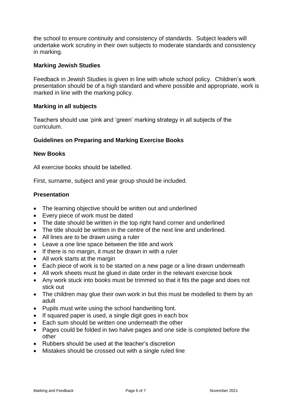the school to ensure continuity and consistency of standards. Subject leaders will undertake work scrutiny in their own subjects to moderate standards and consistency in marking.

#### **Marking Jewish Studies**

Feedback in Jewish Studies is given in line with whole school policy. Children's work presentation should be of a high standard and where possible and appropriate, work is marked in line with the marking policy.

#### **Marking in all subjects**

Teachers should use 'pink and 'green' marking strategy in all subjects of the curriculum.

#### **Guidelines on Preparing and Marking Exercise Books**

#### **New Books**

All exercise books should be labelled.

First, surname, subject and year group should be included.

#### **Presentation**

- The learning objective should be written out and underlined
- Every piece of work must be dated
- The date should be written in the top right hand corner and underlined
- The title should be written in the centre of the next line and underlined.
- All lines are to be drawn using a ruler
- Leave a one line space between the title and work
- If there is no margin, it must be drawn in with a ruler
- All work starts at the margin
- Each piece of work is to be started on a new page or a line drawn underneath
- All work sheets must be glued in date order in the relevant exercise book
- Any work stuck into books must be trimmed so that it fits the page and does not stick out
- The children may glue their own work in but this must be modelled to them by an adult
- Pupils must write using the school handwriting font.
- If squared paper is used, a single digit goes in each box
- Each sum should be written one underneath the other
- Pages could be folded in two halve pages and one side is completed before the other
- Rubbers should be used at the teacher's discretion
- Mistakes should be crossed out with a single ruled line